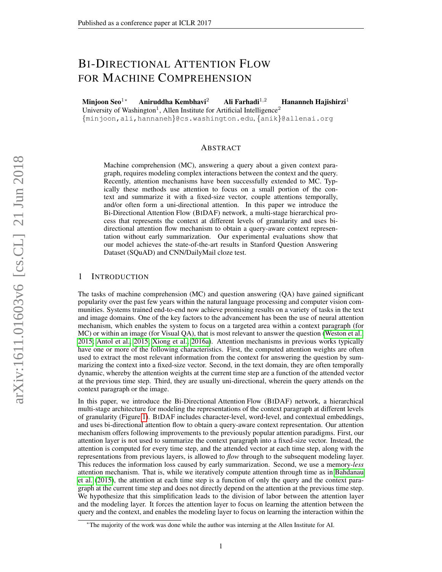# BI-DIRECTIONAL ATTENTION FLOW FOR MACHINE COMPREHENSION

Minjoon Seo<sup>1∗</sup> Aniruddha Kembhavi<sup>2</sup> Ali Farhadi<sup>1,2</sup> Hananneh Hajishirzi<sup>1</sup> University of Washington<sup>1</sup>, Allen Institute for Artificial Intelligence<sup>2</sup> {minjoon,ali,hannaneh}@cs.washington.edu, {anik}@allenai.org

### ABSTRACT

Machine comprehension (MC), answering a query about a given context paragraph, requires modeling complex interactions between the context and the query. Recently, attention mechanisms have been successfully extended to MC. Typically these methods use attention to focus on a small portion of the context and summarize it with a fixed-size vector, couple attentions temporally, and/or often form a uni-directional attention. In this paper we introduce the Bi-Directional Attention Flow (BIDAF) network, a multi-stage hierarchical process that represents the context at different levels of granularity and uses bidirectional attention flow mechanism to obtain a query-aware context representation without early summarization. Our experimental evaluations show that our model achieves the state-of-the-art results in Stanford Question Answering Dataset (SQuAD) and CNN/DailyMail cloze test.

### 1 INTRODUCTION

The tasks of machine comprehension (MC) and question answering (QA) have gained significant popularity over the past few years within the natural language processing and computer vision communities. Systems trained end-to-end now achieve promising results on a variety of tasks in the text and image domains. One of the key factors to the advancement has been the use of neural attention mechanism, which enables the system to focus on a targeted area within a context paragraph (for MC) or within an image (for Visual QA), that is most relevant to answer the question [\(Weston et al.,](#page-10-0) [2015;](#page-10-0) [Antol et al., 2015;](#page-9-0) [Xiong et al., 2016a\)](#page-10-1). Attention mechanisms in previous works typically have one or more of the following characteristics. First, the computed attention weights are often used to extract the most relevant information from the context for answering the question by summarizing the context into a fixed-size vector. Second, in the text domain, they are often temporally dynamic, whereby the attention weights at the current time step are a function of the attended vector at the previous time step. Third, they are usually uni-directional, wherein the query attends on the context paragraph or the image.

In this paper, we introduce the Bi-Directional Attention Flow (BIDAF) network, a hierarchical multi-stage architecture for modeling the representations of the context paragraph at different levels of granularity (Figure [1\)](#page-1-0). BIDAF includes character-level, word-level, and contextual embeddings, and uses bi-directional attention flow to obtain a query-aware context representation. Our attention mechanism offers following improvements to the previously popular attention paradigms. First, our attention layer is not used to summarize the context paragraph into a fixed-size vector. Instead, the attention is computed for every time step, and the attended vector at each time step, along with the representations from previous layers, is allowed to *flow* through to the subsequent modeling layer. This reduces the information loss caused by early summarization. Second, we use a memory-*less* attention mechanism. That is, while we iteratively compute attention through time as in [Bahdanau](#page-9-1) [et al.](#page-9-1) [\(2015\)](#page-9-1), the attention at each time step is a function of only the query and the context paragraph at the current time step and does not directly depend on the attention at the previous time step. We hypothesize that this simplification leads to the division of labor between the attention layer and the modeling layer. It forces the attention layer to focus on learning the attention between the query and the context, and enables the modeling layer to focus on learning the interaction within the

<sup>∗</sup>The majority of the work was done while the author was interning at the Allen Institute for AI.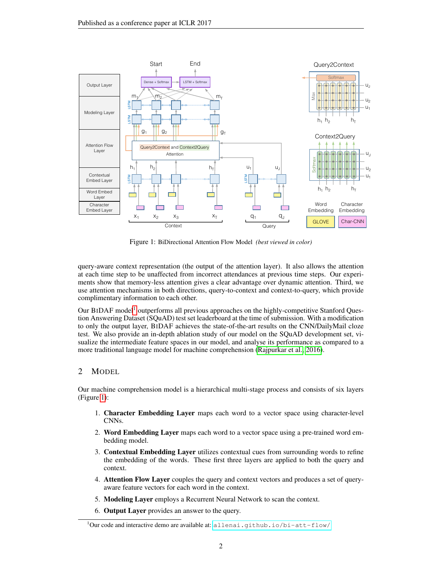<span id="page-1-0"></span>

Figure 1: BiDirectional Attention Flow Model *(best viewed in color)*

query-aware context representation (the output of the attention layer). It also allows the attention at each time step to be unaffected from incorrect attendances at previous time steps. Our experiments show that memory-less attention gives a clear advantage over dynamic attention. Third, we use attention mechanisms in both directions, query-to-context and context-to-query, which provide complimentary information to each other.

Our BIDAF model<sup>[1](#page-1-1)</sup> outperforms all previous approaches on the highly-competitive Stanford Question Answering Dataset (SQuAD) test set leaderboard at the time of submission. With a modification to only the output layer, BIDAF achieves the state-of-the-art results on the CNN/DailyMail cloze test. We also provide an in-depth ablation study of our model on the SQuAD development set, visualize the intermediate feature spaces in our model, and analyse its performance as compared to a more traditional language model for machine comprehension [\(Rajpurkar et al., 2016\)](#page-9-2).

### 2 MODEL

Our machine comprehension model is a hierarchical multi-stage process and consists of six layers (Figure [1\)](#page-1-0):

- 1. Character Embedding Layer maps each word to a vector space using character-level CNNs.
- 2. Word Embedding Layer maps each word to a vector space using a pre-trained word embedding model.
- 3. Contextual Embedding Layer utilizes contextual cues from surrounding words to refine the embedding of the words. These first three layers are applied to both the query and context.
- 4. Attention Flow Layer couples the query and context vectors and produces a set of queryaware feature vectors for each word in the context.
- 5. Modeling Layer employs a Recurrent Neural Network to scan the context.
- 6. Output Layer provides an answer to the query.

<span id="page-1-1"></span> $1$ Our code and interactive demo are available at: <allenai.github.io/bi-att-flow/>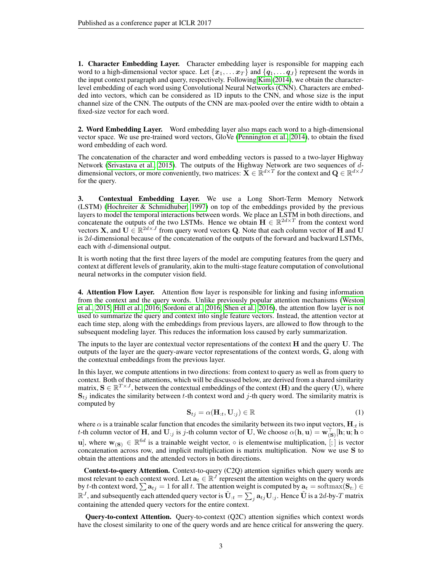1. Character Embedding Layer. Character embedding layer is responsible for mapping each word to a high-dimensional vector space. Let  $\{x_1, \ldots x_T\}$  and  $\{q_1, \ldots q_J\}$  represent the words in the input context paragraph and query, respectively. Following [Kim](#page-9-3) [\(2014\)](#page-9-3), we obtain the characterlevel embedding of each word using Convolutional Neural Networks (CNN). Characters are embedded into vectors, which can be considered as 1D inputs to the CNN, and whose size is the input channel size of the CNN. The outputs of the CNN are max-pooled over the entire width to obtain a fixed-size vector for each word.

2. Word Embedding Layer. Word embedding layer also maps each word to a high-dimensional vector space. We use pre-trained word vectors, GloVe [\(Pennington et al., 2014\)](#page-9-4), to obtain the fixed word embedding of each word.

The concatenation of the character and word embedding vectors is passed to a two-layer Highway Network [\(Srivastava et al., 2015\)](#page-9-5). The outputs of the Highway Network are two sequences of  $d$ dimensional vectors, or more conveniently, two matrices:  $\mathbf{X} \in \mathbb{R}^{d \times T}$  for the context and  $\mathbf{Q} \in \mathbb{R}^{d \times J}$ for the query.

3. Contextual Embedding Layer. We use a Long Short-Term Memory Network (LSTM) [\(Hochreiter & Schmidhuber, 1997\)](#page-9-6) on top of the embeddings provided by the previous layers to model the temporal interactions between words. We place an LSTM in both directions, and concatenate the outputs of the two LSTMs. Hence we obtain  $\mathbf{H} \in \mathbb{R}^{2d \times T}$  from the context word vectors **X**, and  $U \in \mathbb{R}^{2d \times J}$  from query word vectors **Q**. Note that each column vector of **H** and **U** is  $2d$ -dimensional because of the concatenation of the outputs of the forward and backward LSTMs, each with d-dimensional output.

It is worth noting that the first three layers of the model are computing features from the query and context at different levels of granularity, akin to the multi-stage feature computation of convolutional neural networks in the computer vision field.

**4. Attention Flow Layer.** Attention flow layer is responsible for linking and fusing information from the context and the query words. Unlike previously popular attention mechanisms [\(Weston](#page-10-0) [et al., 2015;](#page-10-0) [Hill et al., 2016;](#page-9-7) [Sordoni et al., 2016;](#page-9-8) [Shen et al., 2016\)](#page-9-9), the attention flow layer is not used to summarize the query and context into single feature vectors. Instead, the attention vector at each time step, along with the embeddings from previous layers, are allowed to flow through to the subsequent modeling layer. This reduces the information loss caused by early summarization.

The inputs to the layer are contextual vector representations of the context  $H$  and the query  $U$ . The outputs of the layer are the query-aware vector representations of the context words, **, along with** the contextual embeddings from the previous layer.

In this layer, we compute attentions in two directions: from context to query as well as from query to context. Both of these attentions, which will be discussed below, are derived from a shared similarity matrix,  $S \in \mathbb{R}^{T \times J}$ , between the contextual embeddings of the context (**H**) and the query (**U**), where  $S_{tj}$  indicates the similarity between t-th context word and j-th query word. The similarity matrix is computed by

$$
\mathbf{S}_{tj} = \alpha(\mathbf{H}_{:t}, \mathbf{U}_{:j}) \in \mathbb{R} \tag{1}
$$

<span id="page-2-0"></span>where  $\alpha$  is a trainable scalar function that encodes the similarity between its two input vectors,  $H_{\cdot t}$  is t-th column vector of **H**, and  $U_{:j}$  is j-th column vector of **U**, We choose  $\alpha(\mathbf{h}, \mathbf{u}) = \mathbf{w}_{(\mathbf{S})}^{\top}[\mathbf{h}; \mathbf{u}; \mathbf{h} \circ \mathbf{v}]$ u], where  $w_{(S)} \in \mathbb{R}^{6d}$  is a trainable weight vector,  $\circ$  is elementwise multiplication, [;] is vector concatenation across row, and implicit multiplication is matrix multiplication. Now we use S to obtain the attentions and the attended vectors in both directions.

Context-to-query Attention. Context-to-query (C2Q) attention signifies which query words are most relevant to each context word. Let  $a_t \in \mathbb{R}^J$  represent the attention weights on the query words by t-th context word,  $\sum a_{tj} = 1$  for all t. The attention weight is computed by  $a_t = \text{softmax}(S_t) \in$  $\mathbb{R}^J$ , and subsequently each attended query vector is  $\tilde{\bf U}_{:t}=\sum_j {\bf a}_{tj}{\bf U}_{:j}$ . Hence  $\tilde{\bf U}$  is a 2d-by-T matrix containing the attended query vectors for the entire context.

Query-to-context Attention. Query-to-context (Q2C) attention signifies which context words have the closest similarity to one of the query words and are hence critical for answering the query.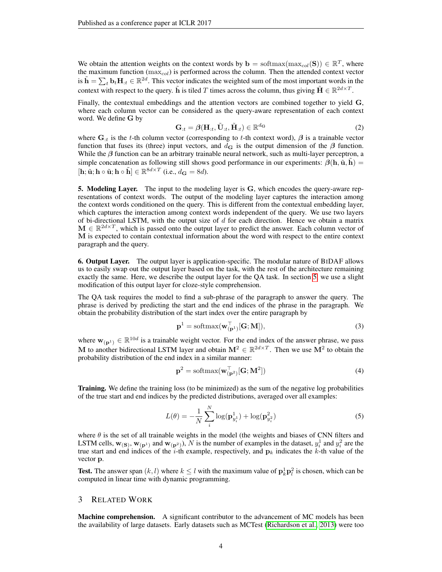We obtain the attention weights on the context words by  $\mathbf{b} = \text{softmax}(\max_{col}(\mathbf{S})) \in \mathbb{R}^T$ , where the maximum function ( $\max_{col}$ ) is performed across the column. Then the attended context vector is  $\tilde{\mathbf{h}} = \sum_t \mathbf{b}_t \mathbf{H}_{:t} \in \mathbb{R}^{2d}$ . This vector indicates the weighted sum of the most important words in the context with respect to the query.  $\tilde{h}$  is tiled T times across the column, thus giving  $\tilde{H} \in \mathbb{R}^{2d \times T}$ .

Finally, the contextual embeddings and the attention vectors are combined together to yield G, where each column vector can be considered as the query-aware representation of each context word. We define G by

<span id="page-3-0"></span>
$$
\mathbf{G}_{:t} = \beta(\mathbf{H}_{:t}, \tilde{\mathbf{U}}_{:t}, \tilde{\mathbf{H}}_{:t}) \in \mathbb{R}^{d_{\mathbf{G}}} \tag{2}
$$

where  $\mathbf{G}_{:t}$  is the t-th column vector (corresponding to t-th context word),  $\beta$  is a trainable vector function that fuses its (three) input vectors, and  $d_{\bf G}$  is the output dimension of the  $\beta$  function. While the  $\beta$  function can be an arbitrary trainable neural network, such as multi-layer perceptron, a simple concatenation as following still shows good performance in our experiments:  $\beta(h, \tilde{u}, h)$  =  $[\mathbf{h}; \tilde{\mathbf{u}}; \mathbf{h} \circ \tilde{\mathbf{u}}; \mathbf{h} \circ \tilde{\mathbf{h}}] \in \mathbb{R}^{8d \times T}$  (i.e.,  $d_{\mathbf{G}} = 8d$ ).

5. Modeling Layer. The input to the modeling layer is G, which encodes the query-aware representations of context words. The output of the modeling layer captures the interaction among the context words conditioned on the query. This is different from the contextual embedding layer, which captures the interaction among context words independent of the query. We use two layers of bi-directional LSTM, with the output size of  $d$  for each direction. Hence we obtain a matrix  $\mathbf{M} \in \mathbb{R}^{2d \times T}$ , which is passed onto the output layer to predict the answer. Each column vector of M is expected to contain contextual information about the word with respect to the entire context paragraph and the query.

6. Output Layer. The output layer is application-specific. The modular nature of BIDAF allows us to easily swap out the output layer based on the task, with the rest of the architecture remaining exactly the same. Here, we describe the output layer for the QA task. In section [5,](#page-7-0) we use a slight modification of this output layer for cloze-style comprehension.

The QA task requires the model to find a sub-phrase of the paragraph to answer the query. The phrase is derived by predicting the start and the end indices of the phrase in the paragraph. We obtain the probability distribution of the start index over the entire paragraph by

$$
\mathbf{p}^1 = \text{softmax}(\mathbf{w}_{(\mathbf{p}^1)}^\top [\mathbf{G}; \mathbf{M}]),\tag{3}
$$

where  $w_{(p^1)} \in \mathbb{R}^{10d}$  is a trainable weight vector. For the end index of the answer phrase, we pass M to another bidirectional LSTM layer and obtain  $M^2 \in \mathbb{R}^{2d \times T}$ . Then we use  $M^2$  to obtain the probability distribution of the end index in a similar manner:

$$
\mathbf{p}^2 = \text{softmax}(\mathbf{w}_{(\mathbf{p}^2)}^\top [\mathbf{G}; \mathbf{M}^2])
$$
(4)

Training. We define the training loss (to be minimized) as the sum of the negative log probabilities of the true start and end indices by the predicted distributions, averaged over all examples:

$$
L(\theta) = -\frac{1}{N} \sum_{i}^{N} \log(\mathbf{p}_{y_i^1}^1) + \log(\mathbf{p}_{y_i^2}^2)
$$
 (5)

where  $\theta$  is the set of all trainable weights in the model (the weights and biases of CNN filters and LSTM cells,  $w_{(s)}, w_{(p^1)}$  and  $w_{(p^2)}$ , N is the number of examples in the dataset,  $y_i^1$  and  $y_i^2$  are the true start and end indices of the  $i$ -th example, respectively, and  $\mathbf{p}_k$  indicates the k-th value of the vector p.

**Test.** The answer span  $(k, l)$  where  $k \leq l$  with the maximum value of  $\mathbf{p}_k^1 \mathbf{p}_l^2$  is chosen, which can be computed in linear time with dynamic programming.

#### 3 RELATED WORK

Machine comprehension. A significant contributor to the advancement of MC models has been the availability of large datasets. Early datasets such as MCTest [\(Richardson et al., 2013\)](#page-9-10) were too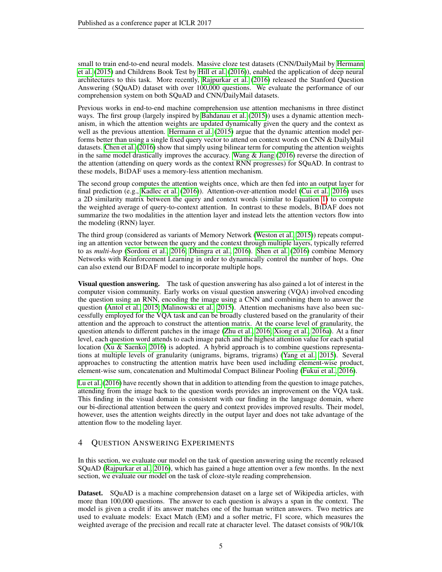small to train end-to-end neural models. Massive cloze test datasets (CNN/DailyMail by [Hermann](#page-9-11) [et al.](#page-9-11) [\(2015\)](#page-9-11) and Childrens Book Test by [Hill et al.](#page-9-7) [\(2016\)](#page-9-7)), enabled the application of deep neural architectures to this task. More recently, [Rajpurkar et al.](#page-9-2) [\(2016\)](#page-9-2) released the Stanford Question Answering (SQuAD) dataset with over 100,000 questions. We evaluate the performance of our comprehension system on both SQuAD and CNN/DailyMail datasets.

Previous works in end-to-end machine comprehension use attention mechanisms in three distinct ways. The first group (largely inspired by [Bahdanau et al.](#page-9-1) [\(2015\)](#page-9-1)) uses a dynamic attention mechanism, in which the attention weights are updated dynamically given the query and the context as well as the previous attention. [Hermann et al.](#page-9-11) [\(2015\)](#page-9-11) argue that the dynamic attention model performs better than using a single fixed query vector to attend on context words on CNN & DailyMail datasets. [Chen et al.](#page-9-12) [\(2016\)](#page-9-12) show that simply using bilinear term for computing the attention weights in the same model drastically improves the accuracy. [Wang & Jiang](#page-10-2) [\(2016\)](#page-10-2) reverse the direction of the attention (attending on query words as the context RNN progresses) for SQuAD. In contrast to these models, BIDAF uses a memory-less attention mechanism.

The second group computes the attention weights once, which are then fed into an output layer for final prediction (e.g., [Kadlec et al.](#page-9-13) [\(2016\)](#page-9-13)). Attention-over-attention model [\(Cui et al., 2016\)](#page-9-14) uses a 2D similarity matrix between the query and context words (similar to Equation [1\)](#page-2-0) to compute the weighted average of query-to-context attention. In contrast to these models, BIDAF does not summarize the two modalities in the attention layer and instead lets the attention vectors flow into the modeling (RNN) layer.

The third group (considered as variants of Memory Network [\(Weston et al., 2015\)](#page-10-0)) repeats computing an attention vector between the query and the context through multiple layers, typically referred to as *multi-hop* [\(Sordoni et al., 2016;](#page-9-8) [Dhingra et al., 2016\)](#page-9-15). [Shen et al.](#page-9-9) [\(2016\)](#page-9-9) combine Memory Networks with Reinforcement Learning in order to dynamically control the number of hops. One can also extend our BIDAF model to incorporate multiple hops.

Visual question answering. The task of question answering has also gained a lot of interest in the computer vision community. Early works on visual question answering (VQA) involved encoding the question using an RNN, encoding the image using a CNN and combining them to answer the question [\(Antol et al., 2015;](#page-9-0) [Malinowski et al., 2015\)](#page-9-16). Attention mechanisms have also been successfully employed for the VQA task and can be broadly clustered based on the granularity of their attention and the approach to construct the attention matrix. At the coarse level of granularity, the question attends to different patches in the image [\(Zhu et al., 2016;](#page-10-3) [Xiong et al., 2016a\)](#page-10-1). At a finer level, each question word attends to each image patch and the highest attention value for each spatial location [\(Xu & Saenko, 2016\)](#page-10-4) is adopted. A hybrid approach is to combine questions representations at multiple levels of granularity (unigrams, bigrams, trigrams) [\(Yang et al., 2015\)](#page-10-5). Several approaches to constructing the attention matrix have been used including element-wise product, element-wise sum, concatenation and Multimodal Compact Bilinear Pooling [\(Fukui et al., 2016\)](#page-9-17).

[Lu et al.](#page-9-18) [\(2016\)](#page-9-18) have recently shown that in addition to attending from the question to image patches, attending from the image back to the question words provides an improvement on the VQA task. This finding in the visual domain is consistent with our finding in the language domain, where our bi-directional attention between the query and context provides improved results. Their model, however, uses the attention weights directly in the output layer and does not take advantage of the attention flow to the modeling layer.

### <span id="page-4-0"></span>4 QUESTION ANSWERING EXPERIMENTS

In this section, we evaluate our model on the task of question answering using the recently released SQuAD [\(Rajpurkar et al., 2016\)](#page-9-2), which has gained a huge attention over a few months. In the next section, we evaluate our model on the task of cloze-style reading comprehension.

Dataset. SQuAD is a machine comprehension dataset on a large set of Wikipedia articles, with more than 100,000 questions. The answer to each question is always a span in the context. The model is given a credit if its answer matches one of the human written answers. Two metrics are used to evaluate models: Exact Match (EM) and a softer metric, F1 score, which measures the weighted average of the precision and recall rate at character level. The dataset consists of 90k/10k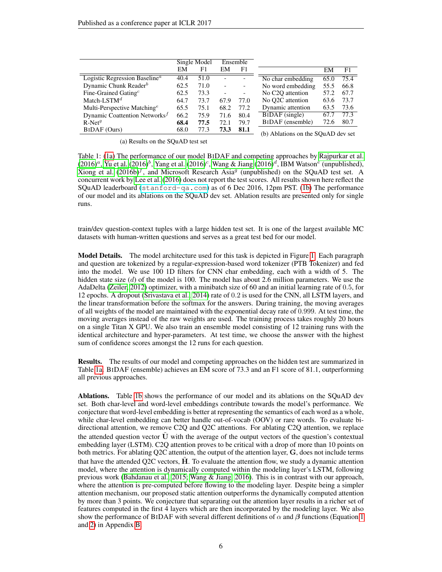<span id="page-5-0"></span>

|                                                        |      | Single Model |      | Ensemble                 |                                                                     |      |      |
|--------------------------------------------------------|------|--------------|------|--------------------------|---------------------------------------------------------------------|------|------|
|                                                        | EM   | F1           | EM   | F1                       |                                                                     | EM   | F1   |
| Logistic Regression Baseline <sup><math>a</math></sup> | 40.4 | 51.0         |      |                          | No char embedding                                                   | 65.0 | 75.4 |
| Dynamic Chunk Reader $^b$                              | 62.5 | 71.0         |      | -                        | No word embedding                                                   | 55.5 | 66.8 |
| Fine-Grained Gating <sup><math>c</math></sup>          | 62.5 | 73.3         |      | $\overline{\phantom{a}}$ | No C <sub>2</sub> O attention                                       | 57.2 | 67.7 |
| Match-LST $M^d$                                        | 64.7 | 73.7         | 67.9 | 77.0                     | No O <sub>2</sub> C attention                                       | 63.6 | 73.7 |
| Multi-Perspective Matching <sup>e</sup>                | 65.5 | 75.1         | 68.2 | 77.2                     | Dynamic attention                                                   | 63.5 | 73.6 |
| Dynamic Coattention Networks <sup><math>f</math></sup> | 66.2 | 75.9         | 71.6 | 80.4                     | BIDAF (single)                                                      | 67.7 | 77.3 |
| $R-Netg$                                               | 68.4 | 77.5         | 72.1 | 79.7                     | BIDAF (ensemble)                                                    | 72.6 | 80.7 |
| BIDAF (Ours)                                           | 68.0 | 77.3         | 73.3 | 81.1                     | $(h)$ Ablations on the $\Omega$ $\Omega$ $\Lambda$ $\Omega$ day set |      |      |

(a) Results on the SQuAD test set

(b) Ablations on the SQuAD dev set

Table 1: [\(1a\)](#page-5-0) The performance of our model BIDAF and competing approaches by [Rajpurkar et al.](#page-9-2)  $(2016)^a$  $(2016)^a$ , [Yu et al.](#page-10-6)  $(2016)^b$ , [Yang et al.](#page-10-7)  $(2016)^c$ , [Wang & Jiang](#page-10-2)  $(2016)^d$ , IBM Watson<sup>e</sup> (unpublished), [Xiong et al.](#page-10-8)  $(2016b)^f$  $(2016b)^f$ , and Microsoft Research Asia<sup>g</sup> (unpublished) on the SQuAD test set. A concurrent work by [Lee et al.](#page-9-19) [\(2016\)](#page-9-19) does not report the test scores. All results shown here reflect the SQuAD leaderboard (<stanford-qa.com>) as of 6 Dec 2016, 12pm PST. [\(1b\)](#page-5-0) The performance of our model and its ablations on the SQuAD dev set. Ablation results are presented only for single runs.

train/dev question-context tuples with a large hidden test set. It is one of the largest available MC datasets with human-written questions and serves as a great test bed for our model.

<span id="page-5-1"></span>Model Details. The model architecture used for this task is depicted in Figure [1.](#page-1-0) Each paragraph and question are tokenized by a regular-expression-based word tokenizer (PTB Tokenizer) and fed into the model. We use 100 1D filters for CNN char embedding, each with a width of 5. The hidden state size  $(d)$  of the model is 100. The model has about 2.6 million parameters. We use the AdaDelta [\(Zeiler, 2012\)](#page-10-9) optimizer, with a minibatch size of 60 and an initial learning rate of 0.5, for 12 epochs. A dropout [\(Srivastava et al., 2014\)](#page-9-20) rate of 0.2 is used for the CNN, all LSTM layers, and the linear transformation before the softmax for the answers. During training, the moving averages of all weights of the model are maintained with the exponential decay rate of 0.999. At test time, the moving averages instead of the raw weights are used. The training process takes roughly 20 hours on a single Titan X GPU. We also train an ensemble model consisting of 12 training runs with the identical architecture and hyper-parameters. At test time, we choose the answer with the highest sum of confidence scores amongst the 12 runs for each question.

Results. The results of our model and competing approaches on the hidden test are summarized in Table [1a.](#page-5-0) BIDAF (ensemble) achieves an EM score of 73.3 and an F1 score of 81.1, outperforming all previous approaches.

Ablations. Table [1b](#page-5-0) shows the performance of our model and its ablations on the SQuAD dev set. Both char-level and word-level embeddings contribute towards the model's performance. We conjecture that word-level embedding is better at representing the semantics of each word as a whole, while char-level embedding can better handle out-of-vocab (OOV) or rare words. To evaluate bidirectional attention, we remove C2Q and Q2C attentions. For ablating C2Q attention, we replace the attended question vector  $\bar{U}$  with the average of the output vectors of the question's contextual embedding layer (LSTM). C2Q attention proves to be critical with a drop of more than 10 points on both metrics. For ablating Q2C attention, the output of the attention layer, G, does not include terms that have the attended O2C vectors,  $\hat{H}$ . To evaluate the attention flow, we study a dynamic attention model, where the attention is dynamically computed within the modeling layer's LSTM, following previous work [\(Bahdanau et al., 2015;](#page-9-1) [Wang & Jiang, 2016\)](#page-10-2). This is in contrast with our approach, where the attention is pre-computed before flowing to the modeling layer. Despite being a simpler attention mechanism, our proposed static attention outperforms the dynamically computed attention by more than 3 points. We conjecture that separating out the attention layer results in a richer set of features computed in the first 4 layers which are then incorporated by the modeling layer. We also show the performance of BIDAF with several different definitions of  $\alpha$  and  $\beta$  functions (Equation [1](#page-2-0)) and [2\)](#page-3-0) in Appendix [B.](#page-12-0)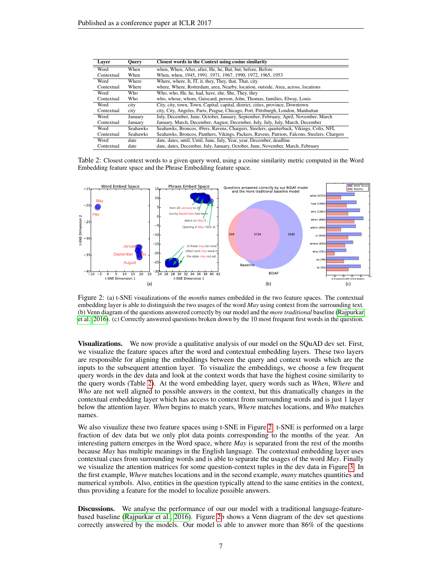<span id="page-6-0"></span>

| Laver      | <b>Ouery</b>    | Closest words in the Context using cosine similarity                                         |
|------------|-----------------|----------------------------------------------------------------------------------------------|
| Word       | When            | when, When, After, after, He, he, But, but, before, Before                                   |
| Contextual | When            | When, when, 1945, 1991, 1971, 1967, 1990, 1972, 1965, 1953                                   |
| Word       | Where           | Where, where, It, IT, it, they, They, that, That, city                                       |
| Contextual | Where           | where, Where, Rotterdam, area, Nearby, location, outside, Area, across, locations            |
| Word       | Who.            | Who, who, He, he, had, have, she, She, They, they                                            |
| Contextual | Who             | who, whose, whom, Guiscard, person, John, Thomas, families, Elway, Louis                     |
| Word       | city            | City, city, town, Town, Capital, capital, district, cities, province, Downtown               |
| Contextual | city            | city, City, Angeles, Paris, Prague, Chicago, Port, Pittsburgh, London, Manhattan             |
| Word       | January         | July, December, June, October, January, September, February, April, November, March          |
| Contextual | January         | January, March, December, August, December, July, July, July, March, December                |
| Word       | <b>Seahawks</b> | Seahawks, Broncos, 49ers, Ravens, Chargers, Steelers, quarterback, Vikings, Colts, NFL       |
| Contextual | <b>Seahawks</b> | Seahawks, Broncos, Panthers, Vikings, Packers, Ravens, Patriots, Falcons, Steelers, Chargers |
| Word       | date            | date, dates, until, Until, June, July, Year, year, December, deadline                        |
| Contextual | date            | date, dates, December, July, January, October, June, November, March, February               |

Table 2: Closest context words to a given query word, using a cosine similarity metric computed in the Word Embedding feature space and the Phrase Embedding feature space.

<span id="page-6-1"></span>

Figure 2: (a) t-SNE visualizations of the *months* names embedded in the two feature spaces. The contextual embedding layer is able to distinguish the two usages of the word *May* using context from the surrounding text. (b) Venn diagram of the questions answered correctly by our model and the *more traditional* baseline [\(Rajpurkar](#page-9-2) [et al., 2016\)](#page-9-2). (c) Correctly answered questions broken down by the 10 most frequent first words in the question.

Visualizations. We now provide a qualitative analysis of our model on the SQuAD dev set. First, we visualize the feature spaces after the word and contextual embedding layers. These two layers are responsible for aligning the embeddings between the query and context words which are the inputs to the subsequent attention layer. To visualize the embeddings, we choose a few frequent query words in the dev data and look at the context words that have the highest cosine similarity to the query words (Table [2\)](#page-6-0). At the word embedding layer, query words such as *When*, *Where* and *Who* are not well aligned to possible answers in the context, but this dramatically changes in the contextual embedding layer which has access to context from surrounding words and is just 1 layer below the attention layer. *When* begins to match years, *Where* matches locations, and *Who* matches names.

We also visualize these two feature spaces using t-SNE in Figure [2.](#page-6-1) t-SNE is performed on a large fraction of dev data but we only plot data points corresponding to the months of the year. An interesting pattern emerges in the Word space, where *May* is separated from the rest of the months because *May* has multiple meanings in the English language. The contextual embedding layer uses contextual cues from surrounding words and is able to separate the usages of the word *May*. Finally we visualize the attention matrices for some question-context tuples in the dev data in Figure [3.](#page-7-1) In the first example, *Where* matches locations and in the second example, *many* matches quantities and numerical symbols. Also, entities in the question typically attend to the same entities in the context, thus providing a feature for the model to localize possible answers.

Discussions. We analyse the performance of our our model with a traditional language-featurebased baseline [\(Rajpurkar et al., 2016\)](#page-9-2). Figure [2b](#page-6-1) shows a Venn diagram of the dev set questions correctly answered by the models. Our model is able to answer more than 86% of the questions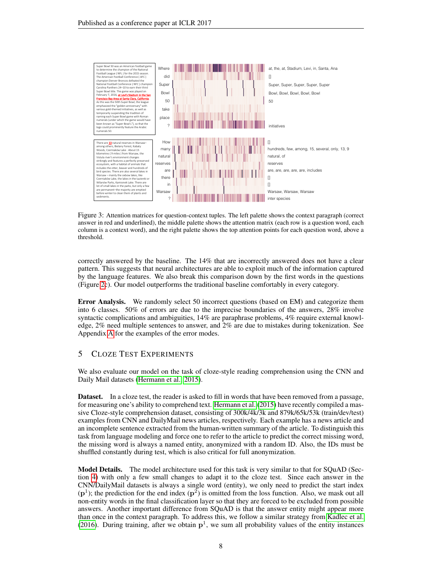<span id="page-7-1"></span>

Figure 3: Attention matrices for question-context tuples. The left palette shows the context paragraph (correct answer in red and underlined), the middle palette shows the attention matrix (each row is a question word, each column is a context word), and the right palette shows the top attention points for each question word, above a threshold.

correctly answered by the baseline. The 14% that are incorrectly answered does not have a clear pattern. This suggests that neural architectures are able to exploit much of the information captured by the language features. We also break this comparison down by the first words in the questions (Figure [2c](#page-6-1)). Our model outperforms the traditional baseline comfortably in every category.

Error Analysis. We randomly select 50 incorrect questions (based on EM) and categorize them into 6 classes. 50% of errors are due to the imprecise boundaries of the answers, 28% involve syntactic complications and ambiguities, 14% are paraphrase problems, 4% require external knowledge, 2% need multiple sentences to answer, and 2% are due to mistakes during tokenization. See Appendix [A](#page-11-0) for the examples of the error modes.

# 5 CLOZE TEST EXPERIMENTS

We also evaluate our model on the task of cloze-style reading comprehension using the CNN and Daily Mail datasets [\(Hermann et al., 2015\)](#page-9-11).

Dataset. In a cloze test, the reader is asked to fill in words that have been removed from a passage, for measuring one's ability to comprehend text. [Hermann et al.](#page-9-11) [\(2015\)](#page-9-11) have recently compiled a massive Cloze-style comprehension dataset, consisting of 300k/4k/3k and 879k/65k/53k (train/dev/test) examples from CNN and DailyMail news articles, respectively. Each example has a news article and an incomplete sentence extracted from the human-written summary of the article. To distinguish this task from language modeling and force one to refer to the article to predict the correct missing word, the missing word is always a named entity, anonymized with a random ID. Also, the IDs must be shuffled constantly during test, which is also critical for full anonymization.

<span id="page-7-0"></span>Model Details. The model architecture used for this task is very similar to that for SQuAD (Section [4\)](#page-4-0) with only a few small changes to adapt it to the cloze test. Since each answer in the CNN/DailyMail datasets is always a single word (entity), we only need to predict the start index  $(p<sup>1</sup>)$ ; the prediction for the end index  $(p<sup>2</sup>)$  is omitted from the loss function. Also, we mask out all non-entity words in the final classification layer so that they are forced to be excluded from possible answers. Another important difference from SQuAD is that the answer entity might appear more than once in the context paragraph. To address this, we follow a similar strategy from [Kadlec et al.](#page-9-13) [\(2016\)](#page-9-13). During training, after we obtain  $p<sup>1</sup>$ , we sum all probability values of the entity instances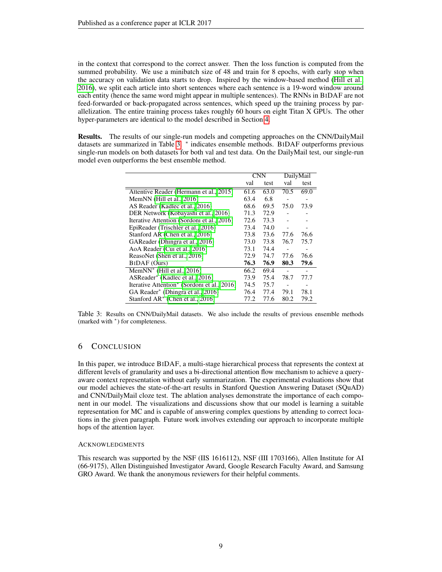in the context that correspond to the correct answer. Then the loss function is computed from the summed probability. We use a minibatch size of 48 and train for 8 epochs, with early stop when the accuracy on validation data starts to drop. Inspired by the window-based method [\(Hill et al.,](#page-9-7) [2016\)](#page-9-7), we split each article into short sentences where each sentence is a 19-word window around each entity (hence the same word might appear in multiple sentences). The RNNs in BIDAF are not feed-forwarded or back-propagated across sentences, which speed up the training process by parallelization. The entire training process takes roughly 60 hours on eight Titan X GPUs. The other hyper-parameters are identical to the model described in Section [4.](#page-5-1)

<span id="page-8-0"></span>Results. The results of our single-run models and competing approaches on the CNN/DailyMail datasets are summarized in Table [3.](#page-8-0) \* indicates ensemble methods. BIDAF outperforms previous single-run models on both datasets for both val and test data. On the DailyMail test, our single-run model even outperforms the best ensemble method.

|                                                         | <b>CNN</b> |      | DailyMail |      |
|---------------------------------------------------------|------------|------|-----------|------|
|                                                         | val        | test | val       | test |
| Attentive Reader (Hermann et al., 2015)                 | 61.6       | 63.0 | 70.5      | 69.0 |
| Mem $NN$ (Hill et al., 2016)                            | 63.4       | 6.8  |           |      |
| AS Reader (Kadlec et al., 2016)                         | 68.6       | 69.5 | 75.0      | 73.9 |
| DER Network (Kobayashi et al., 2016)                    | 71.3       | 72.9 |           |      |
| Iterative Attention (Sordoni et al., 2016)              | 72.6       | 73.3 |           |      |
| EpiReader (Trischler et al., 2016)                      | 73.4       | 74.0 |           |      |
| Stanford AR (Chen et al., 2016)                         | 73.8       | 73.6 | 77.6      | 76.6 |
| GAReader (Dhingra et al., 2016)                         | 73.0       | 73.8 | 76.7      | 75.7 |
| AoA Reader (Cui et al., 2016)                           | 73.1       | 74.4 |           |      |
| ReasoNet (Shen et al., 2016)                            | 72.9       | 74.7 | 77.6      | 76.6 |
| <b>BIDAF</b> (Ours)                                     | 76.3       | 76.9 | 80.3      | 79.6 |
| Mem $NN^*$ (Hill et al., 2016)                          | 66.2       | 69.4 |           |      |
| ASReader* (Kadlec et al., 2016)                         | 73.9       | 75.4 | 78.7      | 77.7 |
| Iterative Attention <sup>*</sup> (Sordoni et al., 2016) | 74.5       | 75.7 |           |      |
| GA Reader <sup>*</sup> (Dhingra et al., 2016)           | 76.4       | 77.4 | 79.1      | 78.1 |
| Stanford $AR^*$ (Chen et al., 2016)                     | 77.2       | 77.6 | 80.2      | 79.2 |

Table 3: Results on CNN/DailyMail datasets. We also include the results of previous ensemble methods (marked with <sup>∗</sup> ) for completeness.

### 6 CONCLUSION

In this paper, we introduce BIDAF, a multi-stage hierarchical process that represents the context at different levels of granularity and uses a bi-directional attention flow mechanism to achieve a queryaware context representation without early summarization. The experimental evaluations show that our model achieves the state-of-the-art results in Stanford Question Answering Dataset (SQuAD) and CNN/DailyMail cloze test. The ablation analyses demonstrate the importance of each component in our model. The visualizations and discussions show that our model is learning a suitable representation for MC and is capable of answering complex questions by attending to correct locations in the given paragraph. Future work involves extending our approach to incorporate multiple hops of the attention layer.

#### **ACKNOWLEDGMENTS**

This research was supported by the NSF (IIS 1616112), NSF (III 1703166), Allen Institute for AI (66-9175), Allen Distinguished Investigator Award, Google Research Faculty Award, and Samsung GRO Award. We thank the anonymous reviewers for their helpful comments.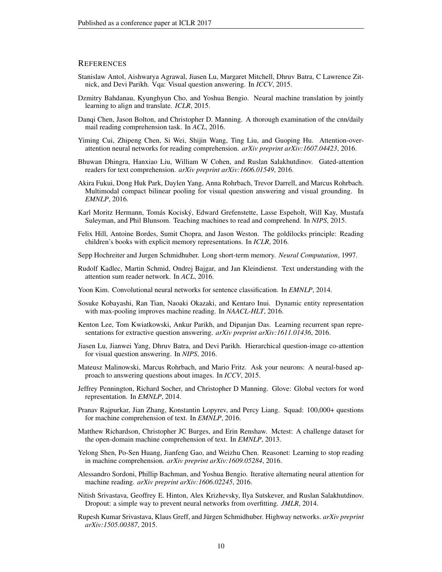### **REFERENCES**

- <span id="page-9-0"></span>Stanislaw Antol, Aishwarya Agrawal, Jiasen Lu, Margaret Mitchell, Dhruv Batra, C Lawrence Zitnick, and Devi Parikh. Vqa: Visual question answering. In *ICCV*, 2015.
- <span id="page-9-1"></span>Dzmitry Bahdanau, Kyunghyun Cho, and Yoshua Bengio. Neural machine translation by jointly learning to align and translate. *ICLR*, 2015.
- <span id="page-9-12"></span>Danqi Chen, Jason Bolton, and Christopher D. Manning. A thorough examination of the cnn/daily mail reading comprehension task. In *ACL*, 2016.
- <span id="page-9-14"></span>Yiming Cui, Zhipeng Chen, Si Wei, Shijin Wang, Ting Liu, and Guoping Hu. Attention-overattention neural networks for reading comprehension. *arXiv preprint arXiv:1607.04423*, 2016.
- <span id="page-9-15"></span>Bhuwan Dhingra, Hanxiao Liu, William W Cohen, and Ruslan Salakhutdinov. Gated-attention readers for text comprehension. *arXiv preprint arXiv:1606.01549*, 2016.
- <span id="page-9-17"></span>Akira Fukui, Dong Huk Park, Daylen Yang, Anna Rohrbach, Trevor Darrell, and Marcus Rohrbach. Multimodal compact bilinear pooling for visual question answering and visual grounding. In *EMNLP*, 2016.
- <span id="page-9-11"></span>Karl Moritz Hermann, Tomás Kociský, Edward Grefenstette, Lasse Espeholt, Will Kay, Mustafa Suleyman, and Phil Blunsom. Teaching machines to read and comprehend. In *NIPS*, 2015.
- <span id="page-9-7"></span>Felix Hill, Antoine Bordes, Sumit Chopra, and Jason Weston. The goldilocks principle: Reading children's books with explicit memory representations. In *ICLR*, 2016.
- <span id="page-9-6"></span>Sepp Hochreiter and Jurgen Schmidhuber. Long short-term memory. *Neural Computation*, 1997.
- <span id="page-9-13"></span>Rudolf Kadlec, Martin Schmid, Ondrej Bajgar, and Jan Kleindienst. Text understanding with the attention sum reader network. In *ACL*, 2016.
- <span id="page-9-3"></span>Yoon Kim. Convolutional neural networks for sentence classification. In *EMNLP*, 2014.
- <span id="page-9-21"></span>Sosuke Kobayashi, Ran Tian, Naoaki Okazaki, and Kentaro Inui. Dynamic entity representation with max-pooling improves machine reading. In *NAACL-HLT*, 2016.
- <span id="page-9-19"></span>Kenton Lee, Tom Kwiatkowski, Ankur Parikh, and Dipanjan Das. Learning recurrent span representations for extractive question answering. *arXiv preprint arXiv:1611.01436*, 2016.
- <span id="page-9-18"></span>Jiasen Lu, Jianwei Yang, Dhruv Batra, and Devi Parikh. Hierarchical question-image co-attention for visual question answering. In *NIPS*, 2016.
- <span id="page-9-16"></span>Mateusz Malinowski, Marcus Rohrbach, and Mario Fritz. Ask your neurons: A neural-based approach to answering questions about images. In *ICCV*, 2015.
- <span id="page-9-4"></span>Jeffrey Pennington, Richard Socher, and Christopher D Manning. Glove: Global vectors for word representation. In *EMNLP*, 2014.
- <span id="page-9-2"></span>Pranav Rajpurkar, Jian Zhang, Konstantin Lopyrev, and Percy Liang. Squad: 100,000+ questions for machine comprehension of text. In *EMNLP*, 2016.
- <span id="page-9-10"></span>Matthew Richardson, Christopher JC Burges, and Erin Renshaw. Mctest: A challenge dataset for the open-domain machine comprehension of text. In *EMNLP*, 2013.
- <span id="page-9-9"></span>Yelong Shen, Po-Sen Huang, Jianfeng Gao, and Weizhu Chen. Reasonet: Learning to stop reading in machine comprehension. *arXiv preprint arXiv:1609.05284*, 2016.
- <span id="page-9-8"></span>Alessandro Sordoni, Phillip Bachman, and Yoshua Bengio. Iterative alternating neural attention for machine reading. *arXiv preprint arXiv:1606.02245*, 2016.
- <span id="page-9-20"></span>Nitish Srivastava, Geoffrey E. Hinton, Alex Krizhevsky, Ilya Sutskever, and Ruslan Salakhutdinov. Dropout: a simple way to prevent neural networks from overfitting. *JMLR*, 2014.
- <span id="page-9-5"></span>Rupesh Kumar Srivastava, Klaus Greff, and Jürgen Schmidhuber. Highway networks. *arXiv preprint arXiv:1505.00387*, 2015.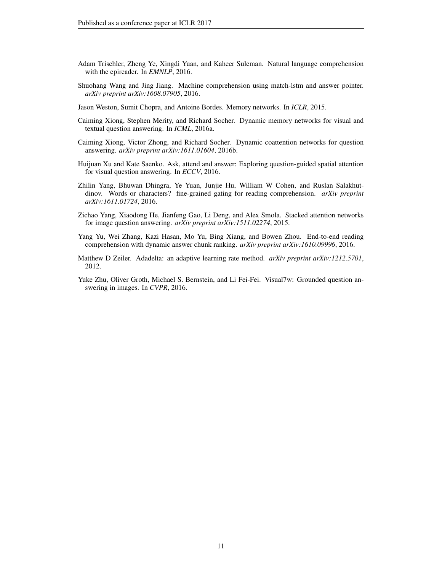- <span id="page-10-10"></span>Adam Trischler, Zheng Ye, Xingdi Yuan, and Kaheer Suleman. Natural language comprehension with the epireader. In *EMNLP*, 2016.
- <span id="page-10-2"></span>Shuohang Wang and Jing Jiang. Machine comprehension using match-lstm and answer pointer. *arXiv preprint arXiv:1608.07905*, 2016.
- <span id="page-10-0"></span>Jason Weston, Sumit Chopra, and Antoine Bordes. Memory networks. In *ICLR*, 2015.
- <span id="page-10-1"></span>Caiming Xiong, Stephen Merity, and Richard Socher. Dynamic memory networks for visual and textual question answering. In *ICML*, 2016a.
- <span id="page-10-8"></span>Caiming Xiong, Victor Zhong, and Richard Socher. Dynamic coattention networks for question answering. *arXiv preprint arXiv:1611.01604*, 2016b.
- <span id="page-10-4"></span>Huijuan Xu and Kate Saenko. Ask, attend and answer: Exploring question-guided spatial attention for visual question answering. In *ECCV*, 2016.
- <span id="page-10-7"></span>Zhilin Yang, Bhuwan Dhingra, Ye Yuan, Junjie Hu, William W Cohen, and Ruslan Salakhutdinov. Words or characters? fine-grained gating for reading comprehension. *arXiv preprint arXiv:1611.01724*, 2016.
- <span id="page-10-5"></span>Zichao Yang, Xiaodong He, Jianfeng Gao, Li Deng, and Alex Smola. Stacked attention networks for image question answering. *arXiv preprint arXiv:1511.02274*, 2015.
- <span id="page-10-6"></span>Yang Yu, Wei Zhang, Kazi Hasan, Mo Yu, Bing Xiang, and Bowen Zhou. End-to-end reading comprehension with dynamic answer chunk ranking. *arXiv preprint arXiv:1610.09996*, 2016.
- <span id="page-10-9"></span>Matthew D Zeiler. Adadelta: an adaptive learning rate method. *arXiv preprint arXiv:1212.5701*, 2012.
- <span id="page-10-3"></span>Yuke Zhu, Oliver Groth, Michael S. Bernstein, and Li Fei-Fei. Visual7w: Grounded question answering in images. In *CVPR*, 2016.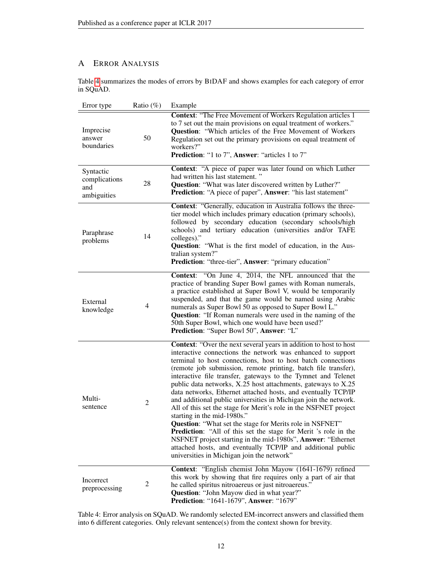# <span id="page-11-0"></span>A ERROR ANALYSIS

Table [4](#page-11-1) summarizes the modes of errors by BIDAF and shows examples for each category of error in SQuAD.

<span id="page-11-1"></span>

| Error type                                       | Ratio $(\%)$   | Example                                                                                                                                                                                                                                                                                                                                                                                                                                                                                                                                                                                                                                                                                                                                                                                                                                                                                                                                                         |
|--------------------------------------------------|----------------|-----------------------------------------------------------------------------------------------------------------------------------------------------------------------------------------------------------------------------------------------------------------------------------------------------------------------------------------------------------------------------------------------------------------------------------------------------------------------------------------------------------------------------------------------------------------------------------------------------------------------------------------------------------------------------------------------------------------------------------------------------------------------------------------------------------------------------------------------------------------------------------------------------------------------------------------------------------------|
| Imprecise<br>answer<br>boundaries                | 50             | <b>Context: "The Free Movement of Workers Regulation articles 1</b><br>to 7 set out the main provisions on equal treatment of workers."<br>Question: "Which articles of the Free Movement of Workers<br>Regulation set out the primary provisions on equal treatment of<br>workers?"<br>Prediction: "1 to 7", Answer: "articles 1 to 7"                                                                                                                                                                                                                                                                                                                                                                                                                                                                                                                                                                                                                         |
| Syntactic<br>complications<br>and<br>ambiguities | 28             | Context: "A piece of paper was later found on which Luther<br>had written his last statement."<br>Question: "What was later discovered written by Luther?"<br>Prediction: "A piece of paper", Answer: "his last statement"                                                                                                                                                                                                                                                                                                                                                                                                                                                                                                                                                                                                                                                                                                                                      |
| Paraphrase<br>problems                           | 14             | Context: "Generally, education in Australia follows the three-<br>tier model which includes primary education (primary schools),<br>followed by secondary education (secondary schools/high<br>schools) and tertiary education (universities and/or TAFE<br>colleges)."<br>Question: "What is the first model of education, in the Aus-<br>tralian system?"<br>Prediction: "three-tier", Answer: "primary education"                                                                                                                                                                                                                                                                                                                                                                                                                                                                                                                                            |
| External<br>knowledge                            | $\overline{4}$ | Context: "On June 4, 2014, the NFL announced that the<br>practice of branding Super Bowl games with Roman numerals,<br>a practice established at Super Bowl V, would be temporarily<br>suspended, and that the game would be named using Arabic<br>numerals as Super Bowl 50 as opposed to Super Bowl L."<br>Question: "If Roman numerals were used in the naming of the<br>50th Super Bowl, which one would have been used?'<br>Prediction: "Super Bowl 50", Answer: "L"                                                                                                                                                                                                                                                                                                                                                                                                                                                                                       |
| Multi-<br>sentence                               | $\overline{c}$ | Context: "Over the next several years in addition to host to host<br>interactive connections the network was enhanced to support<br>terminal to host connections, host to host batch connections<br>(remote job submission, remote printing, batch file transfer),<br>interactive file transfer, gateways to the Tymnet and Telenet<br>public data networks, X.25 host attachments, gateways to X.25<br>data networks, Ethernet attached hosts, and eventually TCP/IP<br>and additional public universities in Michigan join the network.<br>All of this set the stage for Merit's role in the NSFNET project<br>starting in the mid-1980s."<br>Question: "What set the stage for Merits role in NSFNET"<br><b>Prediction:</b> "All of this set the stage for Merit 's role in the<br>NSFNET project starting in the mid-1980s", Answer: "Ethernet<br>attached hosts, and eventually TCP/IP and additional public<br>universities in Michigan join the network" |
| Incorrect<br>preprocessing                       | $\overline{c}$ | Context: "English chemist John Mayow (1641-1679) refined<br>this work by showing that fire requires only a part of air that<br>he called spiritus nitroaereus or just nitroaereus."<br><b>Question:</b> "John Mayow died in what year?"<br>Prediction: "1641-1679", Answer: "1679"                                                                                                                                                                                                                                                                                                                                                                                                                                                                                                                                                                                                                                                                              |

Table 4: Error analysis on SQuAD. We randomly selected EM-incorrect answers and classified them into 6 different categories. Only relevant sentence(s) from the context shown for brevity.